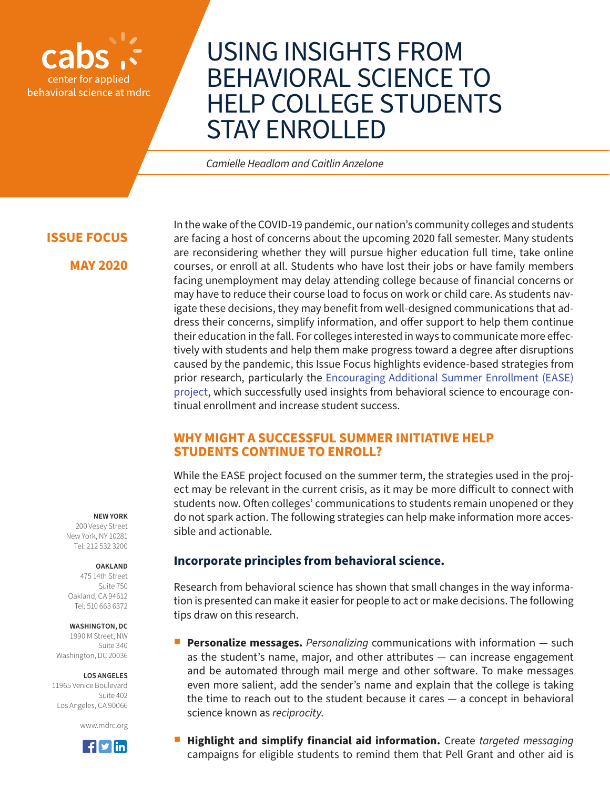

# USING INSIGHTS FROM BEHAVIORAL SCIENCE TO HELP COLLEGE STUDENTS STAY ENROLLED

*Camielle Headlam and Caitlin Anzelone*

## **ISSUE FOCUS**

**MAY 2020**

In the wake of the COVID-19 pandemic, our nation's community colleges and students are facing a host of concerns about the upcoming 2020 fall semester. Many students are reconsidering whether they will pursue higher education full time, take online courses, or enroll at all. Students who have lost their jobs or have family members facing unemployment may delay attending college because of financial concerns or may have to reduce their course load to focus on work or child care. As students navigate these decisions, they may benefit from well-designed communications that address their concerns, simplify information, and offer support to help them continue their education in the fall. For colleges interested in ways to communicate more effectively with students and help them make progress toward a degree after disruptions caused by the pandemic, this Issue Focus highlights evidence-based strategies from prior research, particularly the [Encouraging Additional Summer Enrollment \(EASE\)](https://www.mdrc.org/project/encouraging-additional-summer-enrollment-ease-project#overview)  [project,](https://www.mdrc.org/project/encouraging-additional-summer-enrollment-ease-project#overview) which successfully used insights from behavioral science to encourage continual enrollment and increase student success.

## **WHY MIGHT A SUCCESSFUL SUMMER INITIATIVE HELP STUDENTS CONTINUE TO ENROLL?**

While the EASE project focused on the summer term, the strategies used in the project may be relevant in the current crisis, as it may be more difficult to connect with students now. Often colleges' communications to students remain unopened or they do not spark action. The following strategies can help make information more accessible and actionable.

#### **NEW YORK**

200 Vesey Street New York, NY 10281 Tel: 212 532 3200

#### **OAKLAND**

475 14th Street Suite 750 Oakland, CA 94612 Tel: 510 663 6372

#### **WASHINGTON, DC**

1990 M Street, NW Suite 340 Washington, DC 20036

#### **LOS ANGELES**

11965 Venice Boulevard Suite 402 Los Angeles, CA 90066





## **Incorporate principles from behavioral science.**

Research from behavioral science has shown that small changes in the way information is presented can make it easier for people to act or make decisions. The following tips draw on this research.

- **Personalize messages.** Personalizing communications with information such as the student's name, major, and other attributes — can increase engagement and be automated through mail merge and other software. To make messages even more salient, add the sender's name and explain that the college is taking the time to reach out to the student because it cares — a concept in behavioral science known as *reciprocity*.
- **Highlight and simplify financial aid information.** Create *targeted messaging* campaigns for eligible students to remind them that Pell Grant and other aid is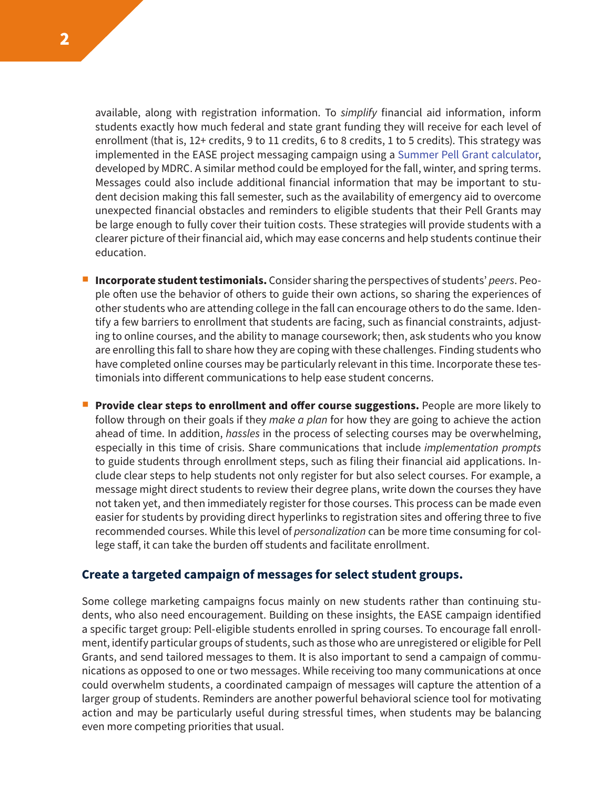available, along with registration information. To *simplify* financial aid information, inform students exactly how much federal and state grant funding they will receive for each level of enrollment (that is, 12+ credits, 9 to 11 credits, 6 to 8 credits, 1 to 5 credits). This strategy was implemented in the EASE project messaging campaign using a [Summer Pell Grant calculator](https://www.mdrc.org/resources/ease-summer-school-toolkit), developed by MDRC. A similar method could be employed for the fall, winter, and spring terms. Messages could also include additional financial information that may be important to student decision making this fall semester, such as the availability of emergency aid to overcome unexpected financial obstacles and reminders to eligible students that their Pell Grants may be large enough to fully cover their tuition costs. These strategies will provide students with a clearer picture of their financial aid, which may ease concerns and help students continue their education.

- **Incorporate student testimonials.** Consider sharing the perspectives of students' *peers*. People often use the behavior of others to guide their own actions, so sharing the experiences of other students who are attending college in the fall can encourage others to do the same. Identify a few barriers to enrollment that students are facing, such as financial constraints, adjusting to online courses, and the ability to manage coursework; then, ask students who you know are enrolling this fall to share how they are coping with these challenges. Finding students who have completed online courses may be particularly relevant in this time. Incorporate these testimonials into different communications to help ease student concerns.
- **Provide clear steps to enrollment and offer course suggestions.** People are more likely to follow through on their goals if they *make a plan* for how they are going to achieve the action ahead of time. In addition, *hassles* in the process of selecting courses may be overwhelming, especially in this time of crisis. Share communications that include *implementation prompts*  to guide students through enrollment steps, such as filing their financial aid applications. Include clear steps to help students not only register for but also select courses. For example, a message might direct students to review their degree plans, write down the courses they have not taken yet, and then immediately register for those courses. This process can be made even easier for students by providing direct hyperlinks to registration sites and offering three to five recommended courses. While this level of *personalization* can be more time consuming for college staff, it can take the burden off students and facilitate enrollment.

#### **Create a targeted campaign of messages for select student groups.**

Some college marketing campaigns focus mainly on new students rather than continuing students, who also need encouragement. Building on these insights, the EASE campaign identified a specific target group: Pell-eligible students enrolled in spring courses. To encourage fall enrollment, identify particular groups of students, such as those who are unregistered or eligible for Pell Grants, and send tailored messages to them. It is also important to send a campaign of communications as opposed to one or two messages. While receiving too many communications at once could overwhelm students, a coordinated campaign of messages will capture the attention of a larger group of students. Reminders are another powerful behavioral science tool for motivating action and may be particularly useful during stressful times, when students may be balancing even more competing priorities that usual.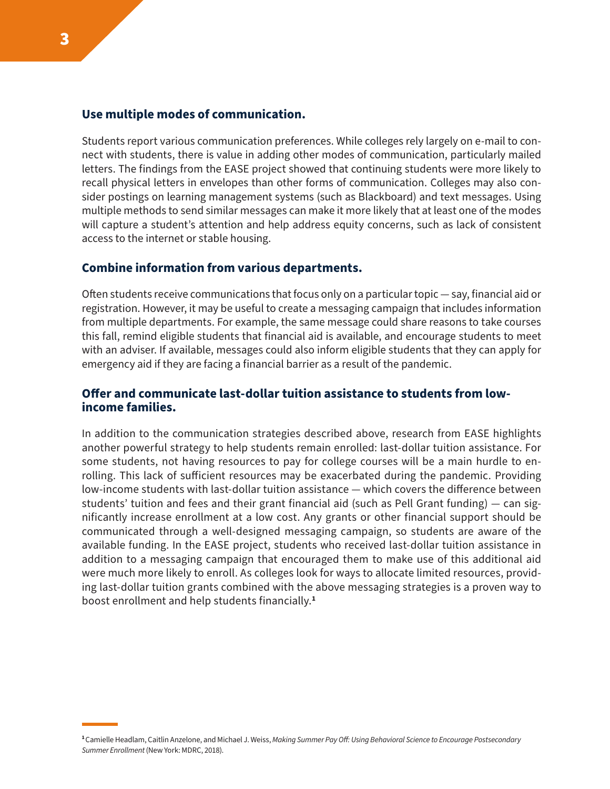#### **Use multiple modes of communication.**

Students report various communication preferences. While colleges rely largely on e-mail to connect with students, there is value in adding other modes of communication, particularly mailed letters. The findings from the EASE project showed that continuing students were more likely to recall physical letters in envelopes than other forms of communication. Colleges may also consider postings on learning management systems (such as Blackboard) and text messages. Using multiple methods to send similar messages can make it more likely that at least one of the modes will capture a student's attention and help address equity concerns, such as lack of consistent access to the internet or stable housing.

#### **Combine information from various departments.**

Often students receive communications that focus only on a particular topic — say, financial aid or registration. However, it may be useful to create a messaging campaign that includes information from multiple departments. For example, the same message could share reasons to take courses this fall, remind eligible students that financial aid is available, and encourage students to meet with an adviser. If available, messages could also inform eligible students that they can apply for emergency aid if they are facing a financial barrier as a result of the pandemic.

## **Offer and communicate last-dollar tuition assistance to students from lowincome families.**

In addition to the communication strategies described above, research from EASE highlights another powerful strategy to help students remain enrolled: last-dollar tuition assistance. For some students, not having resources to pay for college courses will be a main hurdle to enrolling. This lack of sufficient resources may be exacerbated during the pandemic. Providing low-income students with last-dollar tuition assistance — which covers the difference between students' tuition and fees and their grant financial aid (such as Pell Grant funding) — can significantly increase enrollment at a low cost. Any grants or other financial support should be communicated through a well-designed messaging campaign, so students are aware of the available funding. In the EASE project, students who received last-dollar tuition assistance in addition to a messaging campaign that encouraged them to make use of this additional aid were much more likely to enroll. As colleges look for ways to allocate limited resources, providing last-dollar tuition grants combined with the above messaging strategies is a proven way to boost enrollment and help students financially.**<sup>1</sup>**

**<sup>1</sup>**Camielle Headlam, Caitlin Anzelone, and Michael J. Weiss, *Making Summer Pay Off: Using Behavioral Science to Encourage Postsecondary Summer Enrollment* (New York: MDRC, 2018).